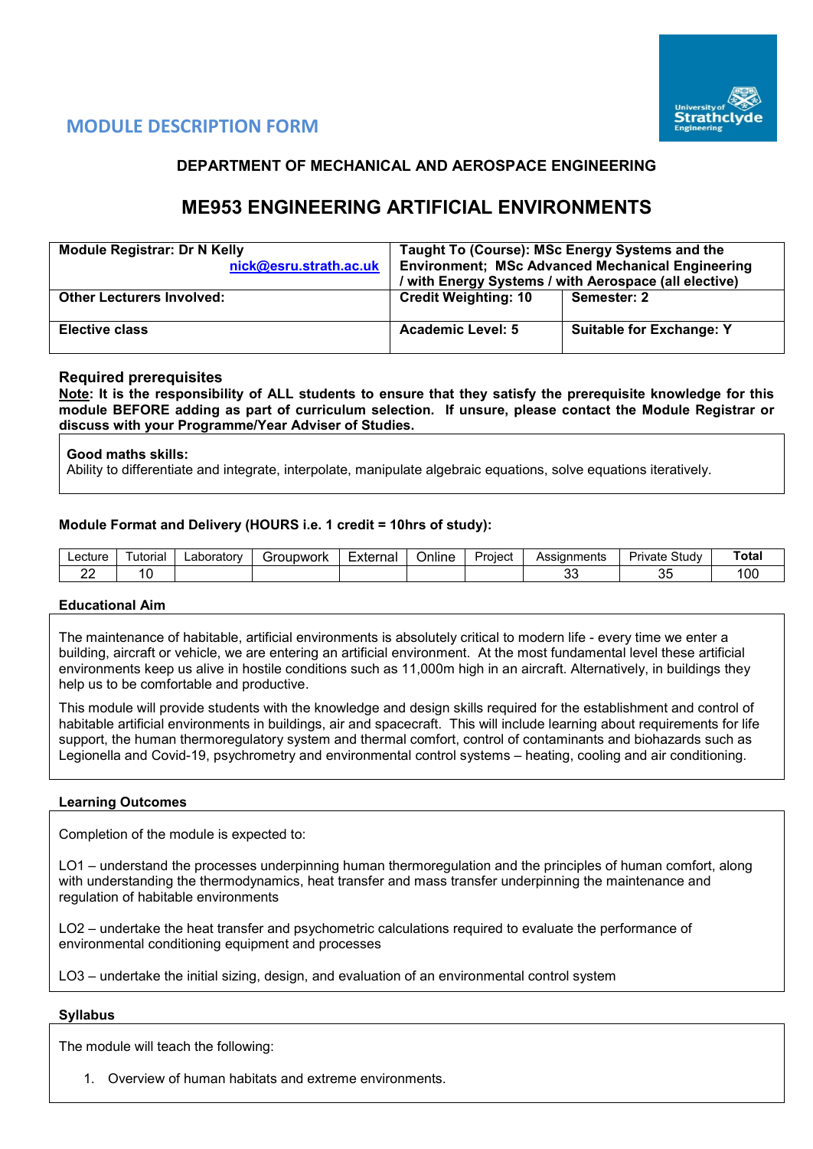

## **MODULE DESCRIPTION FORM**

## **DEPARTMENT OF MECHANICAL AND AEROSPACE ENGINEERING**

# **ME953 ENGINEERING ARTIFICIAL ENVIRONMENTS**

| <b>Module Registrar: Dr N Kelly</b><br>nick@esru.strath.ac.uk | Taught To (Course): MSc Energy Systems and the<br><b>Environment; MSc Advanced Mechanical Engineering</b><br>/ with Energy Systems / with Aerospace (all elective) |                                 |  |  |  |
|---------------------------------------------------------------|--------------------------------------------------------------------------------------------------------------------------------------------------------------------|---------------------------------|--|--|--|
| <b>Other Lecturers Involved:</b>                              | <b>Credit Weighting: 10</b>                                                                                                                                        | Semester: 2                     |  |  |  |
| <b>Elective class</b>                                         | Academic Level: 5                                                                                                                                                  | <b>Suitable for Exchange: Y</b> |  |  |  |

## **Required prerequisites**

**Note: It is the responsibility of ALL students to ensure that they satisfy the prerequisite knowledge for this module BEFORE adding as part of curriculum selection. If unsure, please contact the Module Registrar or discuss with your Programme/Year Adviser of Studies.**

### **Good maths skills:**

Ability to differentiate and integrate, interpolate, manipulate algebraic equations, solve equations iteratively.

## **Module Format and Delivery (HOURS i.e. 1 credit = 10hrs of study):**

| _ecture | utorial | _aboratorv | iroupwork<br>л. | External | $\cdot$ .<br>⊃nlıne | -<br>Project | Assıan<br>าments | Study<br>— Jrr<br><u>ivate</u> | <b>Total</b> |
|---------|---------|------------|-----------------|----------|---------------------|--------------|------------------|--------------------------------|--------------|
| ∸∸      |         |            |                 |          |                     |              | $\sim$<br>ັ      | $\sim$<br>ັບ                   | 00           |

## **Educational Aim**

The maintenance of habitable, artificial environments is absolutely critical to modern life - every time we enter a building, aircraft or vehicle, we are entering an artificial environment. At the most fundamental level these artificial environments keep us alive in hostile conditions such as 11,000m high in an aircraft. Alternatively, in buildings they help us to be comfortable and productive.

This module will provide students with the knowledge and design skills required for the establishment and control of habitable artificial environments in buildings, air and spacecraft. This will include learning about requirements for life support, the human thermoregulatory system and thermal comfort, control of contaminants and biohazards such as Legionella and Covid-19, psychrometry and environmental control systems – heating, cooling and air conditioning.

### **Learning Outcomes**

Completion of the module is expected to:

LO1 – understand the processes underpinning human thermoregulation and the principles of human comfort, along with understanding the thermodynamics, heat transfer and mass transfer underpinning the maintenance and regulation of habitable environments

LO2 – undertake the heat transfer and psychometric calculations required to evaluate the performance of environmental conditioning equipment and processes

LO3 – undertake the initial sizing, design, and evaluation of an environmental control system

### **Syllabus**

The module will teach the following:

1. Overview of human habitats and extreme environments.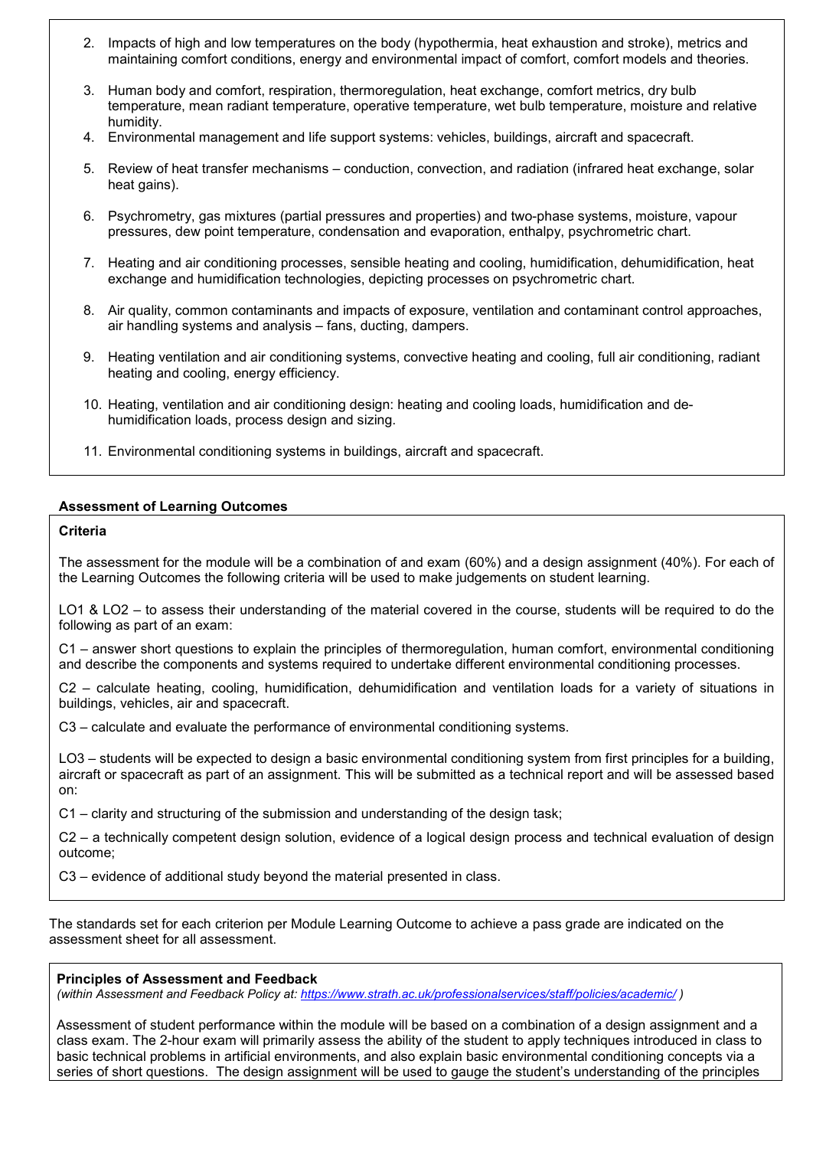- 2. Impacts of high and low temperatures on the body (hypothermia, heat exhaustion and stroke), metrics and maintaining comfort conditions, energy and environmental impact of comfort, comfort models and theories.
- 3. Human body and comfort, respiration, thermoregulation, heat exchange, comfort metrics, dry bulb temperature, mean radiant temperature, operative temperature, wet bulb temperature, moisture and relative humidity.
- 4. Environmental management and life support systems: vehicles, buildings, aircraft and spacecraft.
- 5. Review of heat transfer mechanisms conduction, convection, and radiation (infrared heat exchange, solar heat gains).
- 6. Psychrometry, gas mixtures (partial pressures and properties) and two-phase systems, moisture, vapour pressures, dew point temperature, condensation and evaporation, enthalpy, psychrometric chart.
- 7. Heating and air conditioning processes, sensible heating and cooling, humidification, dehumidification, heat exchange and humidification technologies, depicting processes on psychrometric chart.
- 8. Air quality, common contaminants and impacts of exposure, ventilation and contaminant control approaches, air handling systems and analysis – fans, ducting, dampers.
- 9. Heating ventilation and air conditioning systems, convective heating and cooling, full air conditioning, radiant heating and cooling, energy efficiency.
- 10. Heating, ventilation and air conditioning design: heating and cooling loads, humidification and dehumidification loads, process design and sizing.
- 11. Environmental conditioning systems in buildings, aircraft and spacecraft.

### **Assessment of Learning Outcomes**

#### **Criteria**

The assessment for the module will be a combination of and exam (60%) and a design assignment (40%). For each of the Learning Outcomes the following criteria will be used to make judgements on student learning.

LO1 & LO2 – to assess their understanding of the material covered in the course, students will be required to do the following as part of an exam:

C1 – answer short questions to explain the principles of thermoregulation, human comfort, environmental conditioning and describe the components and systems required to undertake different environmental conditioning processes.

C2 – calculate heating, cooling, humidification, dehumidification and ventilation loads for a variety of situations in buildings, vehicles, air and spacecraft.

C3 – calculate and evaluate the performance of environmental conditioning systems.

LO3 – students will be expected to design a basic environmental conditioning system from first principles for a building, aircraft or spacecraft as part of an assignment. This will be submitted as a technical report and will be assessed based on:

C1 – clarity and structuring of the submission and understanding of the design task;

C2 – a technically competent design solution, evidence of a logical design process and technical evaluation of design outcome;

C3 – evidence of additional study beyond the material presented in class.

The standards set for each criterion per Module Learning Outcome to achieve a pass grade are indicated on the assessment sheet for all assessment.

#### **Principles of Assessment and Feedback**

*(within Assessment and Feedback Policy at: <https://www.strath.ac.uk/professionalservices/staff/policies/academic/> )*

Assessment of student performance within the module will be based on a combination of a design assignment and a class exam. The 2-hour exam will primarily assess the ability of the student to apply techniques introduced in class to basic technical problems in artificial environments, and also explain basic environmental conditioning concepts via a series of short questions. The design assignment will be used to gauge the student's understanding of the principles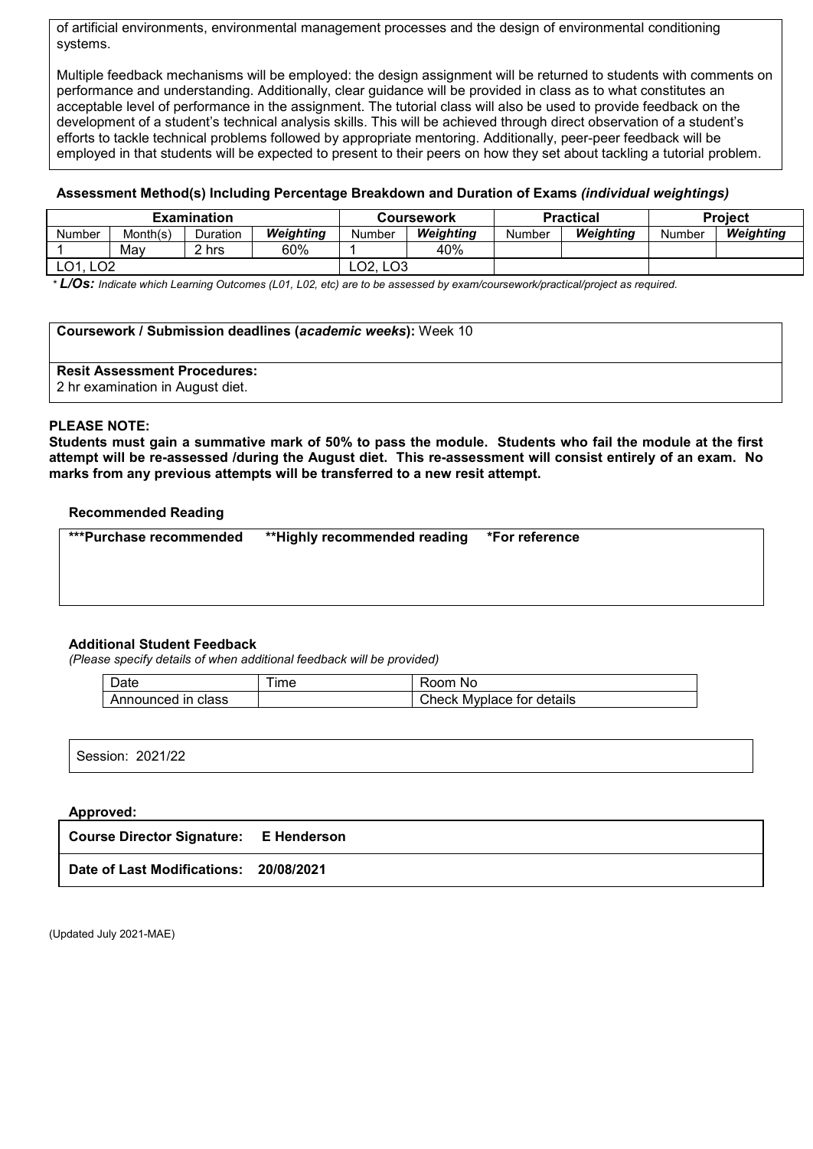of artificial environments, environmental management processes and the design of environmental conditioning systems.

Multiple feedback mechanisms will be employed: the design assignment will be returned to students with comments on performance and understanding. Additionally, clear guidance will be provided in class as to what constitutes an acceptable level of performance in the assignment. The tutorial class will also be used to provide feedback on the development of a student's technical analysis skills. This will be achieved through direct observation of a student's efforts to tackle technical problems followed by appropriate mentoring. Additionally, peer-peer feedback will be employed in that students will be expected to present to their peers on how they set about tackling a tutorial problem.

## **Assessment Method(s) Including Percentage Breakdown and Duration of Exams** *(individual weightings)*

| <b>Examination</b>     |          |          |           |                                   | <b>Coursework</b> |        | <b>Practical</b> | <b>Project</b> |           |  |
|------------------------|----------|----------|-----------|-----------------------------------|-------------------|--------|------------------|----------------|-----------|--|
| Number                 | Month(s) | Duration | Weiahtina | Number                            | Weiahtina         | Number | Weiahtina        | Number         | Weiahtina |  |
|                        | Mav      | 2 hrs    | 60%       |                                   | 40%               |        |                  |                |           |  |
| റാ<br>∩1<br>∟∪⊥<br>ᆫᇰᄼ |          |          |           | LO <sub>2</sub> , LO <sub>3</sub> |                   |        |                  |                |           |  |

*\* L/Os: Indicate which Learning Outcomes (L01, L02, etc) are to be assessed by exam/coursework/practical/project as required.*

#### **Coursework / Submission deadlines (***academic weeks***):** Week 10

## **Resit Assessment Procedures:**

2 hr examination in August diet.

### **PLEASE NOTE:**

**Students must gain a summative mark of 50% to pass the module. Students who fail the module at the first attempt will be re-assessed /during the August diet. This re-assessment will consist entirely of an exam. No marks from any previous attempts will be transferred to a new resit attempt.**

### **Recommended Reading**

| ***Purchase recommended | **Highly recommended reading *For reference |  |
|-------------------------|---------------------------------------------|--|
|                         |                                             |  |

### **Additional Student Feedback**

*(Please specify details of when additional feedback will be provided)*

| Jate                            | $-$<br>ime | nnm<br>NC                    |
|---------------------------------|------------|------------------------------|
| Announced<br>class<br>ın<br>AN. |            | Check<br>Mvplace for details |

| 2021/22<br>$\sim$<br>Session:<br>ZUZ 1722 |
|-------------------------------------------|
|-------------------------------------------|

## **Approved:**

| <b>Course Director Signature: E Henderson</b> |  |
|-----------------------------------------------|--|
| Date of Last Modifications: 20/08/2021        |  |

(Updated July 2021-MAE)